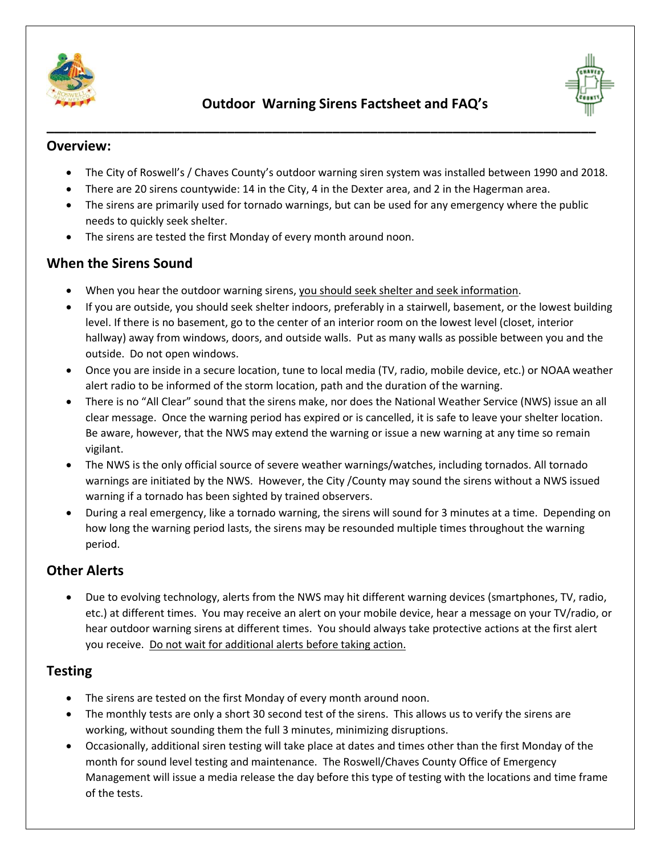

## **Outdoor Warning Sirens Factsheet and FAQ's**



### **Overview:**

- The City of Roswell's / Chaves County's outdoor warning siren system was installed between 1990 and 2018.
- There are 20 sirens countywide: 14 in the City, 4 in the Dexter area, and 2 in the Hagerman area.
- The sirens are primarily used for tornado warnings, but can be used for any emergency where the public needs to quickly seek shelter.
- The sirens are tested the first Monday of every month around noon.

# **When the Sirens Sound**

- When you hear the outdoor warning sirens, you should seek shelter and seek information.
- If you are outside, you should seek shelter indoors, preferably in a stairwell, basement, or the lowest building level. If there is no basement, go to the center of an interior room on the lowest level (closet, interior hallway) away from windows, doors, and outside walls. Put as many walls as possible between you and the outside. Do not open windows.
- Once you are inside in a secure location, tune to local media (TV, radio, mobile device, etc.) or NOAA weather alert radio to be informed of the storm location, path and the duration of the warning.
- There is no "All Clear" sound that the sirens make, nor does the National Weather Service (NWS) issue an all clear message. Once the warning period has expired or is cancelled, it is safe to leave your shelter location. Be aware, however, that the NWS may extend the warning or issue a new warning at any time so remain vigilant.
- The NWS is the only official source of severe weather warnings/watches, including tornados. All tornado warnings are initiated by the NWS. However, the City /County may sound the sirens without a NWS issued warning if a tornado has been sighted by trained observers.
- During a real emergency, like a tornado warning, the sirens will sound for 3 minutes at a time. Depending on how long the warning period lasts, the sirens may be resounded multiple times throughout the warning period.

# **Other Alerts**

 Due to evolving technology, alerts from the NWS may hit different warning devices (smartphones, TV, radio, etc.) at different times. You may receive an alert on your mobile device, hear a message on your TV/radio, or hear outdoor warning sirens at different times. You should always take protective actions at the first alert you receive. Do not wait for additional alerts before taking action.

# **Testing**

- The sirens are tested on the first Monday of every month around noon.
- The monthly tests are only a short 30 second test of the sirens. This allows us to verify the sirens are working, without sounding them the full 3 minutes, minimizing disruptions.
- Occasionally, additional siren testing will take place at dates and times other than the first Monday of the month for sound level testing and maintenance. The Roswell/Chaves County Office of Emergency Management will issue a media release the day before this type of testing with the locations and time frame of the tests.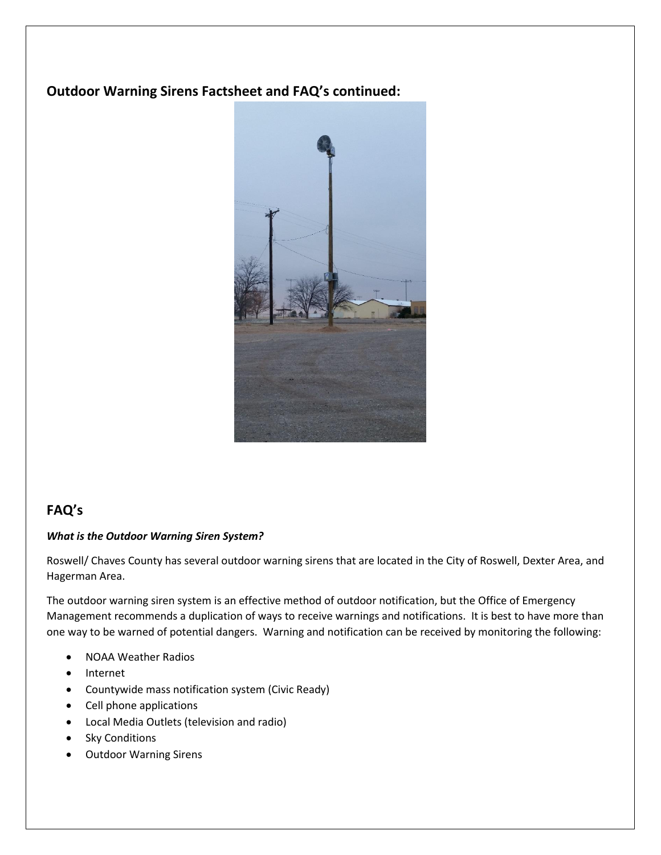## **Outdoor Warning Sirens Factsheet and FAQ's continued:**



# **FAQ's**

### *What is the Outdoor Warning Siren System?*

Roswell/ Chaves County has several outdoor warning sirens that are located in the City of Roswell, Dexter Area, and Hagerman Area.

The outdoor warning siren system is an effective method of outdoor notification, but the Office of Emergency Management recommends a duplication of ways to receive warnings and notifications. It is best to have more than one way to be warned of potential dangers. Warning and notification can be received by monitoring the following:

- NOAA Weather Radios
- Internet
- Countywide mass notification system (Civic Ready)
- Cell phone applications
- Local Media Outlets (television and radio)
- Sky Conditions
- Outdoor Warning Sirens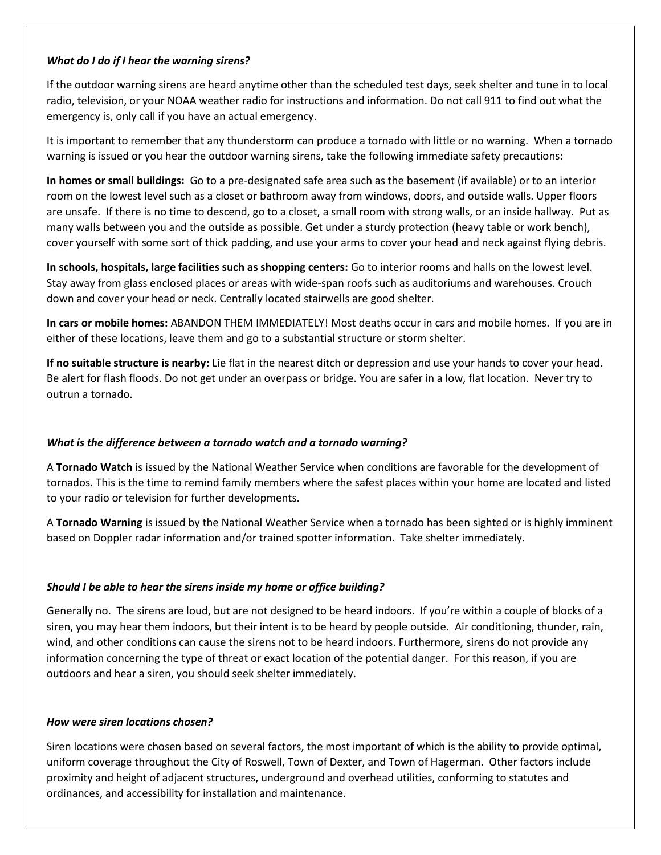### *What do I do if I hear the warning sirens?*

If the outdoor warning sirens are heard anytime other than the scheduled test days, seek shelter and tune in to local radio, television, or your NOAA weather radio for instructions and information. Do not call 911 to find out what the emergency is, only call if you have an actual emergency.

It is important to remember that any thunderstorm can produce a tornado with little or no warning. When a tornado warning is issued or you hear the outdoor warning sirens, take the following immediate safety precautions:

**In homes or small buildings:** Go to a pre-designated safe area such as the basement (if available) or to an interior room on the lowest level such as a closet or bathroom away from windows, doors, and outside walls. Upper floors are unsafe. If there is no time to descend, go to a closet, a small room with strong walls, or an inside hallway. Put as many walls between you and the outside as possible. Get under a sturdy protection (heavy table or work bench), cover yourself with some sort of thick padding, and use your arms to cover your head and neck against flying debris.

**In schools, hospitals, large facilities such as shopping centers:** Go to interior rooms and halls on the lowest level. Stay away from glass enclosed places or areas with wide-span roofs such as auditoriums and warehouses. Crouch down and cover your head or neck. Centrally located stairwells are good shelter.

**In cars or mobile homes:** ABANDON THEM IMMEDIATELY! Most deaths occur in cars and mobile homes. If you are in either of these locations, leave them and go to a substantial structure or storm shelter.

**If no suitable structure is nearby:** Lie flat in the nearest ditch or depression and use your hands to cover your head. Be alert for flash floods. Do not get under an overpass or bridge. You are safer in a low, flat location. Never try to outrun a tornado.

### *What is the difference between a tornado watch and a tornado warning?*

A **Tornado Watch** is issued by the National Weather Service when conditions are favorable for the development of tornados. This is the time to remind family members where the safest places within your home are located and listed to your radio or television for further developments.

A **Tornado Warning** is issued by the National Weather Service when a tornado has been sighted or is highly imminent based on Doppler radar information and/or trained spotter information. Take shelter immediately.

### *Should I be able to hear the sirens inside my home or office building?*

Generally no. The sirens are loud, but are not designed to be heard indoors. If you're within a couple of blocks of a siren, you may hear them indoors, but their intent is to be heard by people outside. Air conditioning, thunder, rain, wind, and other conditions can cause the sirens not to be heard indoors. Furthermore, sirens do not provide any information concerning the type of threat or exact location of the potential danger. For this reason, if you are outdoors and hear a siren, you should seek shelter immediately.

### *How were siren locations chosen?*

Siren locations were chosen based on several factors, the most important of which is the ability to provide optimal, uniform coverage throughout the City of Roswell, Town of Dexter, and Town of Hagerman. Other factors include proximity and height of adjacent structures, underground and overhead utilities, conforming to statutes and ordinances, and accessibility for installation and maintenance.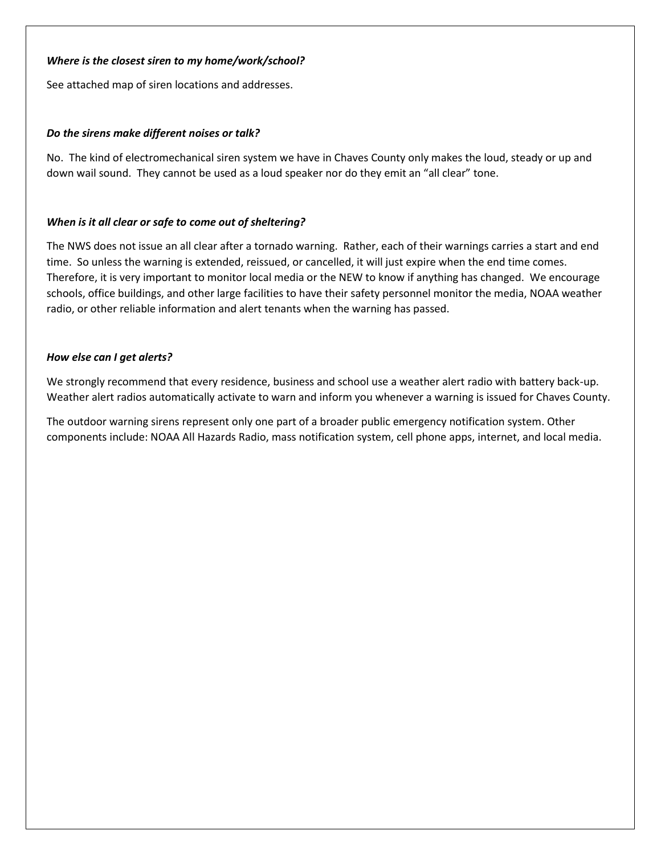#### *Where is the closest siren to my home/work/school?*

See attached map of siren locations and addresses.

### *Do the sirens make different noises or talk?*

No. The kind of electromechanical siren system we have in Chaves County only makes the loud, steady or up and down wail sound. They cannot be used as a loud speaker nor do they emit an "all clear" tone.

### *When is it all clear or safe to come out of sheltering?*

The NWS does not issue an all clear after a tornado warning. Rather, each of their warnings carries a start and end time. So unless the warning is extended, reissued, or cancelled, it will just expire when the end time comes. Therefore, it is very important to monitor local media or the NEW to know if anything has changed. We encourage schools, office buildings, and other large facilities to have their safety personnel monitor the media, NOAA weather radio, or other reliable information and alert tenants when the warning has passed.

### *How else can I get alerts?*

We strongly recommend that every residence, business and school use a weather alert radio with battery back-up. Weather alert radios automatically activate to warn and inform you whenever a warning is issued for Chaves County.

The outdoor warning sirens represent only one part of a broader public emergency notification system. Other components include: NOAA All Hazards Radio, mass notification system, cell phone apps, internet, and local media.